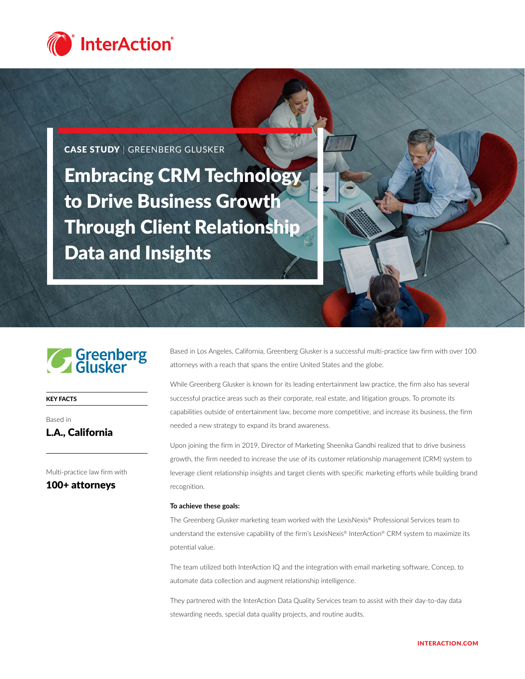

CASE STUDY | GREENBERG GLUSKER

Embracing CRM Technology to Drive Business Growth Through Client Relationship Data and Insights



KEY FACTS

# Based in L.A., California

Multi-practice law firm with

100+ attorneys

Based in Los Angeles, California, Greenberg Glusker is a successful multi-practice law firm with over 100 attorneys with a reach that spans the entire United States and the globe.

While Greenberg Glusker is known for its leading entertainment law practice, the firm also has several successful practice areas such as their corporate, real estate, and litigation groups. To promote its capabilities outside of entertainment law, become more competitive, and increase its business, the firm needed a new strategy to expand its brand awareness.

Upon joining the firm in 2019, Director of Marketing Sheenika Gandhi realized that to drive business growth, the firm needed to increase the use of its customer relationship management (CRM) system to leverage client relationship insights and target clients with specific marketing efforts while building brand recognition.

#### **To achieve these goals:**

The Greenberg Glusker marketing team worked with the LexisNexis® Professional Services team to understand the extensive capability of the firm's LexisNexis® InterAction® CRM system to maximize its potential value.

The team utilized both InterAction IQ and the integration with email marketing software, Concep, to automate data collection and augment relationship intelligence.

They partnered with the InterAction Data Quality Services team to assist with their day-to-day data stewarding needs, special data quality projects, and routine audits.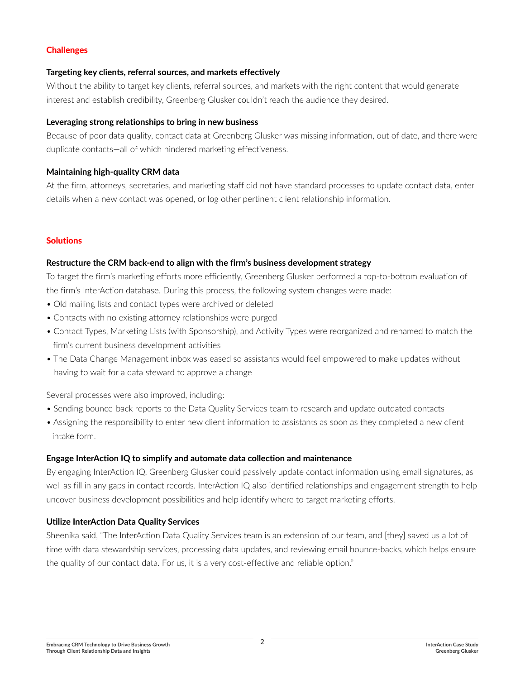# **Challenges**

## **Targeting key clients, referral sources, and markets effectively**

Without the ability to target key clients, referral sources, and markets with the right content that would generate interest and establish credibility, Greenberg Glusker couldn't reach the audience they desired.

## **Leveraging strong relationships to bring in new business**

Because of poor data quality, contact data at Greenberg Glusker was missing information, out of date, and there were duplicate contacts—all of which hindered marketing effectiveness.

# **Maintaining high-quality CRM data**

At the firm, attorneys, secretaries, and marketing staff did not have standard processes to update contact data, enter details when a new contact was opened, or log other pertinent client relationship information.

# **Solutions**

# **Restructure the CRM back-end to align with the firm's business development strategy**

To target the firm's marketing efforts more efficiently, Greenberg Glusker performed a top-to-bottom evaluation of the firm's InterAction database. During this process, the following system changes were made:

- Old mailing lists and contact types were archived or deleted
- Contacts with no existing attorney relationships were purged
- Contact Types, Marketing Lists (with Sponsorship), and Activity Types were reorganized and renamed to match the firm's current business development activities
- The Data Change Management inbox was eased so assistants would feel empowered to make updates without having to wait for a data steward to approve a change

Several processes were also improved, including:

- Sending bounce-back reports to the Data Quality Services team to research and update outdated contacts
- Assigning the responsibility to enter new client information to assistants as soon as they completed a new client intake form.

# **Engage InterAction IQ to simplify and automate data collection and maintenance**

By engaging InterAction IQ, Greenberg Glusker could passively update contact information using email signatures, as well as fill in any gaps in contact records. InterAction IQ also identified relationships and engagement strength to help uncover business development possibilities and help identify where to target marketing efforts.

# **Utilize InterAction Data Quality Services**

Sheenika said, "The InterAction Data Quality Services team is an extension of our team, and [they] saved us a lot of time with data stewardship services, processing data updates, and reviewing email bounce-backs, which helps ensure the quality of our contact data. For us, it is a very cost-effective and reliable option."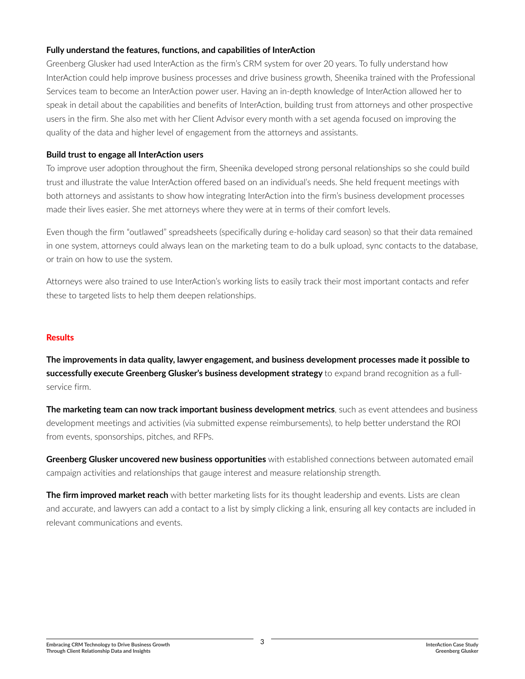# **Fully understand the features, functions, and capabilities of InterAction**

Greenberg Glusker had used InterAction as the firm's CRM system for over 20 years. To fully understand how InterAction could help improve business processes and drive business growth, Sheenika trained with the Professional Services team to become an InterAction power user. Having an in-depth knowledge of InterAction allowed her to speak in detail about the capabilities and benefits of InterAction, building trust from attorneys and other prospective users in the firm. She also met with her Client Advisor every month with a set agenda focused on improving the quality of the data and higher level of engagement from the attorneys and assistants.

# **Build trust to engage all InterAction users**

To improve user adoption throughout the firm, Sheenika developed strong personal relationships so she could build trust and illustrate the value InterAction offered based on an individual's needs. She held frequent meetings with both attorneys and assistants to show how integrating InterAction into the firm's business development processes made their lives easier. She met attorneys where they were at in terms of their comfort levels.

Even though the firm "outlawed" spreadsheets (specifically during e-holiday card season) so that their data remained in one system, attorneys could always lean on the marketing team to do a bulk upload, sync contacts to the database, or train on how to use the system.

Attorneys were also trained to use InterAction's working lists to easily track their most important contacts and refer these to targeted lists to help them deepen relationships.

# **Results**

**The improvements in data quality, lawyer engagement, and business development processes made it possible to successfully execute Greenberg Glusker's business development strategy** to expand brand recognition as a fullservice firm.

**The marketing team can now track important business development metrics**, such as event attendees and business development meetings and activities (via submitted expense reimbursements), to help better understand the ROI from events, sponsorships, pitches, and RFPs.

**Greenberg Glusker uncovered new business opportunities** with established connections between automated email campaign activities and relationships that gauge interest and measure relationship strength.

**The firm improved market reach** with better marketing lists for its thought leadership and events. Lists are clean and accurate, and lawyers can add a contact to a list by simply clicking a link, ensuring all key contacts are included in relevant communications and events.